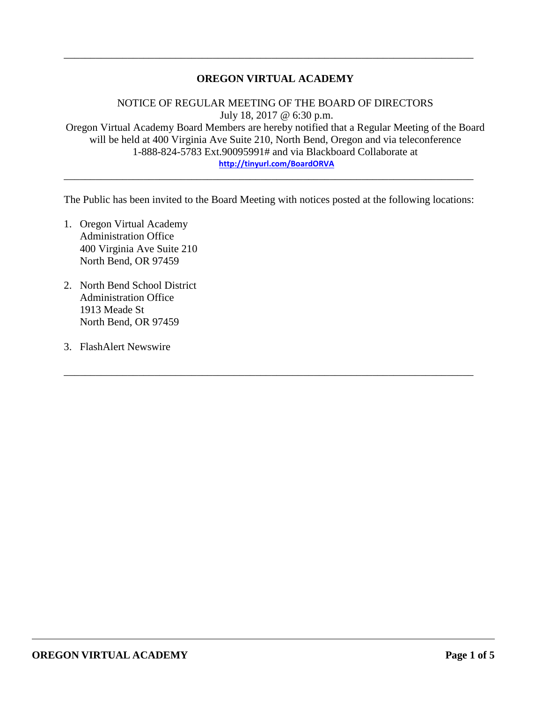# **OREGON VIRTUAL ACADEMY**

\_\_\_\_\_\_\_\_\_\_\_\_\_\_\_\_\_\_\_\_\_\_\_\_\_\_\_\_\_\_\_\_\_\_\_\_\_\_\_\_\_\_\_\_\_\_\_\_\_\_\_\_\_\_\_\_\_\_\_\_\_\_\_\_\_\_\_\_\_\_\_\_\_\_\_\_\_

NOTICE OF REGULAR MEETING OF THE BOARD OF DIRECTORS July 18, 2017 @ 6:30 p.m. Oregon Virtual Academy Board Members are hereby notified that a Regular Meeting of the Board will be held at 400 Virginia Ave Suite 210, North Bend, Oregon and via teleconference 1-888-824-5783 Ext.90095991# and via Blackboard Collaborate at **<http://tinyurl.com/BoardORVA>**

The Public has been invited to the Board Meeting with notices posted at the following locations:

\_\_\_\_\_\_\_\_\_\_\_\_\_\_\_\_\_\_\_\_\_\_\_\_\_\_\_\_\_\_\_\_\_\_\_\_\_\_\_\_\_\_\_\_\_\_\_\_\_\_\_\_\_\_\_\_\_\_\_\_\_\_\_\_\_\_\_\_\_\_\_\_\_\_\_\_\_

\_\_\_\_\_\_\_\_\_\_\_\_\_\_\_\_\_\_\_\_\_\_\_\_\_\_\_\_\_\_\_\_\_\_\_\_\_\_\_\_\_\_\_\_\_\_\_\_\_\_\_\_\_\_\_\_\_\_\_\_\_\_\_\_\_\_\_\_\_\_\_\_\_\_\_\_\_

- 1. Oregon Virtual Academy Administration Office 400 Virginia Ave Suite 210 North Bend, OR 97459
- 2. North Bend School District Administration Office 1913 Meade St North Bend, OR 97459
- 3. FlashAlert Newswire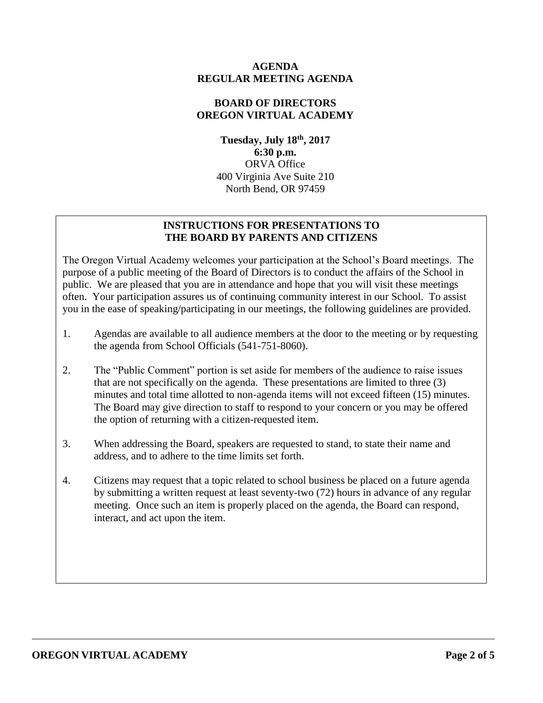## **AGENDA REGULAR MEETING AGENDA**

# **BOARD OF DIRECTORS OREGON VIRTUAL ACADEMY**

**Tuesday, July 18th , 2017 6:30 p.m.** ORVA Office 400 Virginia Ave Suite 210 North Bend, OR 97459

# **INSTRUCTIONS FOR PRESENTATIONS TO THE BOARD BY PARENTS AND CITIZENS**

The Oregon Virtual Academy welcomes your participation at the School's Board meetings. The purpose of a public meeting of the Board of Directors is to conduct the affairs of the School in public. We are pleased that you are in attendance and hope that you will visit these meetings often. Your participation assures us of continuing community interest in our School. To assist you in the ease of speaking/participating in our meetings, the following guidelines are provided.

- 1. Agendas are available to all audience members at the door to the meeting or by requesting the agenda from School Officials (541-751-8060).
- 2. The "Public Comment" portion is set aside for members of the audience to raise issues that are not specifically on the agenda. These presentations are limited to three (3) minutes and total time allotted to non-agenda items will not exceed fifteen (15) minutes. The Board may give direction to staff to respond to your concern or you may be offered the option of returning with a citizen-requested item.
- 3. When addressing the Board, speakers are requested to stand, to state their name and address, and to adhere to the time limits set forth.
- 4. Citizens may request that a topic related to school business be placed on a future agenda by submitting a written request at least seventy-two (72) hours in advance of any regular meeting. Once such an item is properly placed on the agenda, the Board can respond, interact, and act upon the item.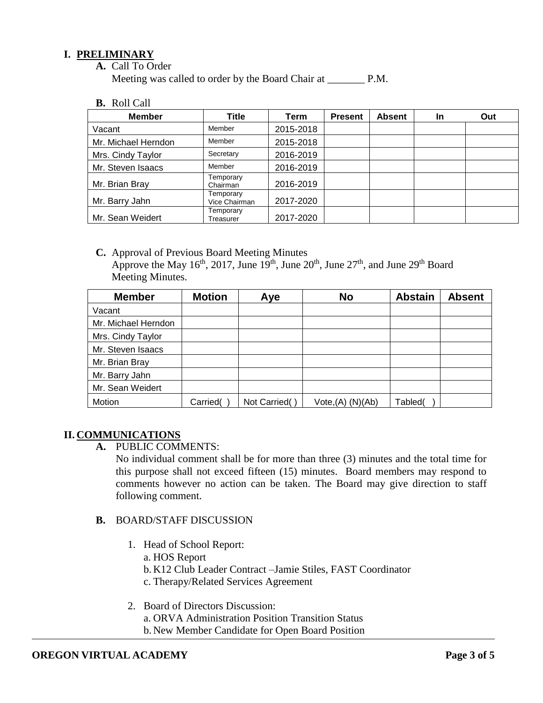# **I. PRELIMINARY**

**A.** Call To Order

Meeting was called to order by the Board Chair at P.M.

**B.** Roll Call

| <b>Member</b>       | Title                      | Term      | <b>Present</b> | <b>Absent</b> | In | Out |
|---------------------|----------------------------|-----------|----------------|---------------|----|-----|
| Vacant              | Member                     | 2015-2018 |                |               |    |     |
| Mr. Michael Herndon | Member                     | 2015-2018 |                |               |    |     |
| Mrs. Cindy Taylor   | Secretary                  | 2016-2019 |                |               |    |     |
| Mr. Steven Isaacs   | Member                     | 2016-2019 |                |               |    |     |
| Mr. Brian Bray      | Temporary<br>Chairman      | 2016-2019 |                |               |    |     |
| Mr. Barry Jahn      | Temporary<br>Vice Chairman | 2017-2020 |                |               |    |     |
| Mr. Sean Weidert    | Temporary<br>Treasurer     | 2017-2020 |                |               |    |     |

**C.** Approval of Previous Board Meeting Minutes Approve the May 16<sup>th</sup>, 2017, June 19<sup>th</sup>, June 20<sup>th</sup>, June 27<sup>th</sup>, and June 29<sup>th</sup> Board Meeting Minutes.

| <b>Member</b>       | <b>Motion</b> | Aye           | <b>No</b>            | <b>Abstain</b> | <b>Absent</b> |
|---------------------|---------------|---------------|----------------------|----------------|---------------|
| Vacant              |               |               |                      |                |               |
| Mr. Michael Herndon |               |               |                      |                |               |
| Mrs. Cindy Taylor   |               |               |                      |                |               |
| Mr. Steven Isaacs   |               |               |                      |                |               |
| Mr. Brian Bray      |               |               |                      |                |               |
| Mr. Barry Jahn      |               |               |                      |                |               |
| Mr. Sean Weidert    |               |               |                      |                |               |
| Motion              | Carried(      | Not Carried() | $Vote,(A)$ $(N)(Ab)$ | Tabled(        |               |

# **II. COMMUNICATIONS**

**A.** PUBLIC COMMENTS:

No individual comment shall be for more than three (3) minutes and the total time for this purpose shall not exceed fifteen (15) minutes. Board members may respond to comments however no action can be taken. The Board may give direction to staff following comment.

- **B.** BOARD/STAFF DISCUSSION
	- 1. Head of School Report:
		- a. HOS Report
		- b. K12 Club Leader Contract –Jamie Stiles, FAST Coordinator
		- c. Therapy/Related Services Agreement

# 2. Board of Directors Discussion:

- a. ORVA Administration Position Transition Status
- b. New Member Candidate for Open Board Position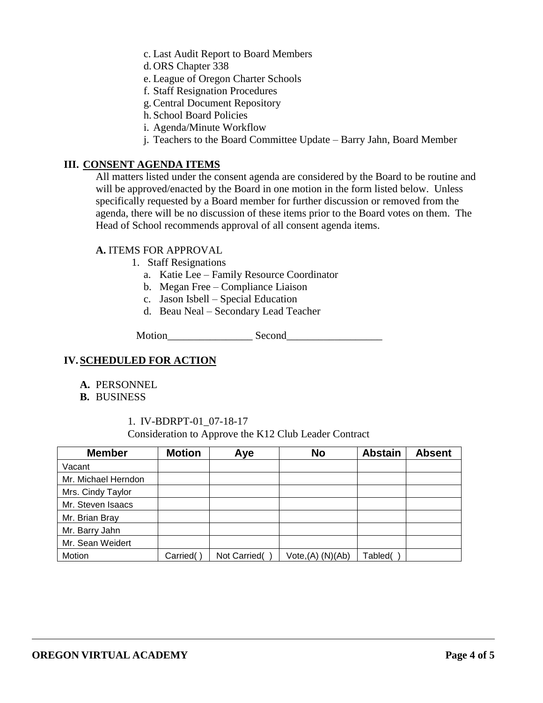c. Last Audit Report to Board Members

- d. ORS Chapter 338
- e. League of Oregon Charter Schools
- f. Staff Resignation Procedures
- g.Central Document Repository
- h. School Board Policies
- i. Agenda/Minute Workflow
- j. Teachers to the Board Committee Update Barry Jahn, Board Member

## **III. CONSENT AGENDA ITEMS**

All matters listed under the consent agenda are considered by the Board to be routine and will be approved/enacted by the Board in one motion in the form listed below. Unless specifically requested by a Board member for further discussion or removed from the agenda, there will be no discussion of these items prior to the Board votes on them. The Head of School recommends approval of all consent agenda items.

#### **A.** ITEMS FOR APPROVAL

- 1. Staff Resignations
	- a. Katie Lee Family Resource Coordinator
	- b. Megan Free Compliance Liaison
	- c. Jason Isbell Special Education
	- d. Beau Neal Secondary Lead Teacher

Motion\_\_\_\_\_\_\_\_\_\_\_\_\_\_\_\_ Second\_\_\_\_\_\_\_\_\_\_\_\_\_\_\_\_\_\_

#### **IV.SCHEDULED FOR ACTION**

- **A.** PERSONNEL
- **B.** BUSINESS

#### 1. IV-BDRPT-01\_07-18-17

Consideration to Approve the K12 Club Leader Contract

| <b>Member</b>       | <b>Motion</b> | Aye          | <b>No</b>                     | <b>Abstain</b> | <b>Absent</b> |
|---------------------|---------------|--------------|-------------------------------|----------------|---------------|
| Vacant              |               |              |                               |                |               |
| Mr. Michael Herndon |               |              |                               |                |               |
| Mrs. Cindy Taylor   |               |              |                               |                |               |
| Mr. Steven Isaacs   |               |              |                               |                |               |
| Mr. Brian Bray      |               |              |                               |                |               |
| Mr. Barry Jahn      |               |              |                               |                |               |
| Mr. Sean Weidert    |               |              |                               |                |               |
| Motion              | Carried(      | Not Carried( | Vote <sub>1</sub> (A) (N)(Ab) | Tabled(        |               |